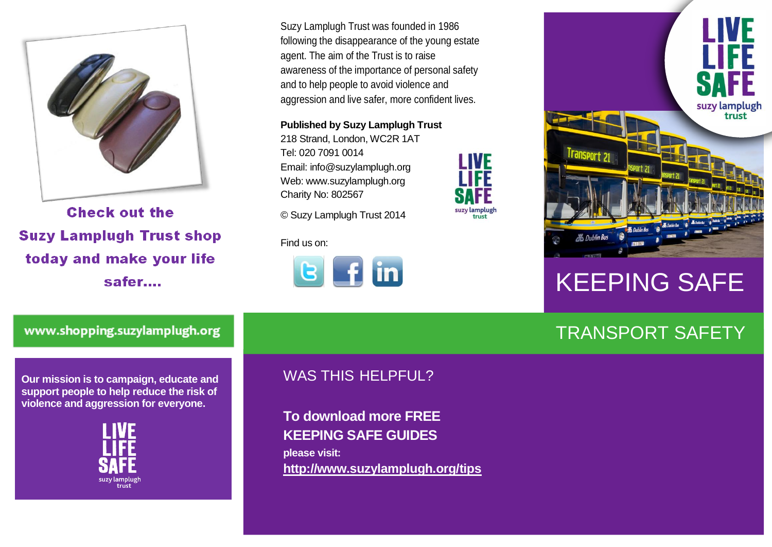

**Check out the Suzy Lamplugh Trust shop** today and make your life safer....

Suzy Lamplugh Trust was founded in 1986 following the disappearance of the young estate agent. The aim of the Trust is to raise awareness of the importance of personal safety and to help people to avoid violence and aggression and live safer, more confident lives.

I IVF

suzy lamplugi

**Published by Suzy Lamplugh Trust**

218 Strand, London, WC2R 1AT Tel: 020 7091 0014 Email: info@suzylamplugh.org Web: www.suzylamplugh.org Charity No: 802567

© Suzy Lamplugh Trust 2014

Find us on:





# KEEPING SAFE

## TRANSPORT SAFETY

www.shopping.suzylamplugh.org

**Our mission is to campaign, educate and support people to help reduce the risk of violence and aggression for everyone.** 



### WAS THIS HELPFUL?

**To download more FREE KEEPING SAFE GUIDES please visit: <http://www.suzylamplugh.org/tips>**